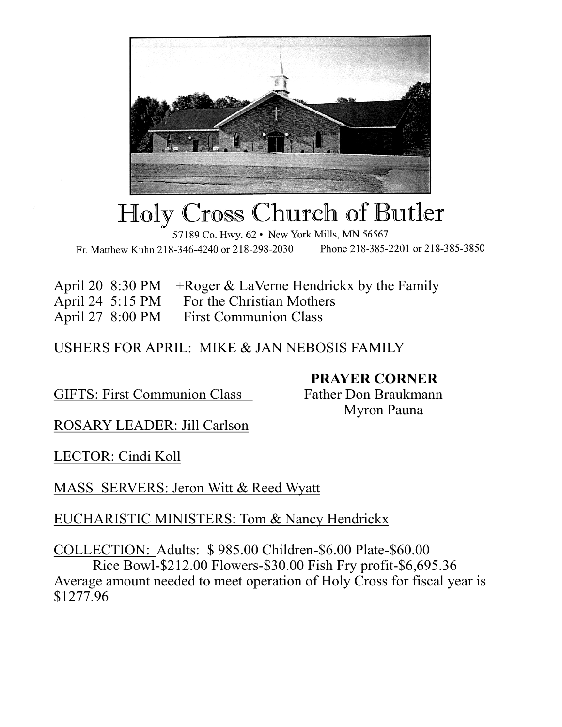

# Holy Cross Church of Butler

57189 Co. Hwy. 62 • New York Mills, MN 56567 Phone 218-385-2201 or 218-385-3850 Fr. Matthew Kuhn 218-346-4240 or 218-298-2030

April 20 8:30 PM +Roger & LaVerne Hendrickx by the Family

April 24 5:15 PM For the Christian Mothers

April 27 8:00 PM First Communion Class

USHERS FOR APRIL: MIKE & JAN NEBOSIS FAMILY

GIFTS: First Communion Class Father Don Braukmann

 **PRAYER CORNER** Myron Pauna

ROSARY LEADER: Jill Carlson

LECTOR: Cindi Koll

MASS SERVERS: Jeron Witt & Reed Wyatt

## EUCHARISTIC MINISTERS: Tom & Nancy Hendrickx

COLLECTION: Adults: \$ 985.00 Children-\$6.00 Plate-\$60.00 Rice Bowl-\$212.00 Flowers-\$30.00 Fish Fry profit-\$6,695.36 Average amount needed to meet operation of Holy Cross for fiscal year is \$1277.96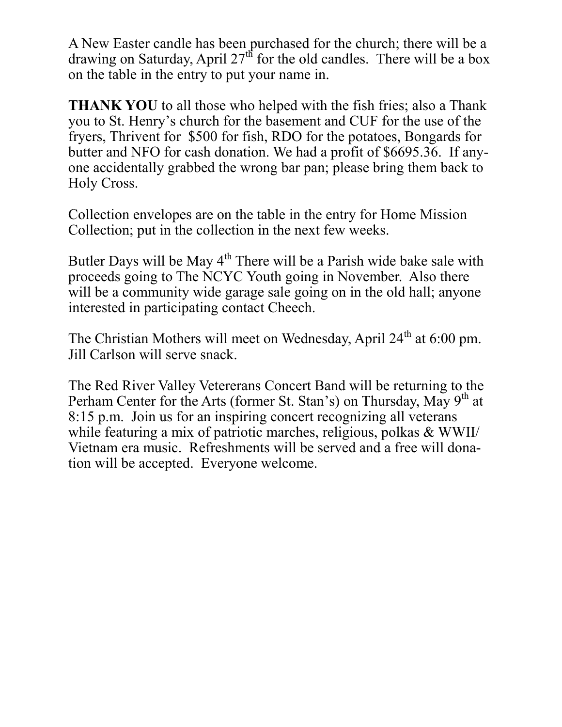A New Easter candle has been purchased for the church; there will be a drawing on Saturday, April  $27<sup>th</sup>$  for the old candles. There will be a box on the table in the entry to put your name in.

**THANK YOU** to all those who helped with the fish fries; also a Thank you to St. Henry's church for the basement and CUF for the use of the fryers, Thrivent for \$500 for fish, RDO for the potatoes, Bongards for butter and NFO for cash donation. We had a profit of \$6695.36. If anyone accidentally grabbed the wrong bar pan; please bring them back to Holy Cross.

Collection envelopes are on the table in the entry for Home Mission Collection; put in the collection in the next few weeks.

Butler Days will be May  $4<sup>th</sup>$  There will be a Parish wide bake sale with proceeds going to The NCYC Youth going in November. Also there will be a community wide garage sale going on in the old hall; anyone interested in participating contact Cheech.

The Christian Mothers will meet on Wednesday, April  $24<sup>th</sup>$  at 6:00 pm. Jill Carlson will serve snack.

The Red River Valley Vetererans Concert Band will be returning to the Perham Center for the Arts (former St. Stan's) on Thursday, May  $9<sup>th</sup>$  at 8:15 p.m. Join us for an inspiring concert recognizing all veterans while featuring a mix of patriotic marches, religious, polkas & WWII/ Vietnam era music. Refreshments will be served and a free will donation will be accepted. Everyone welcome.